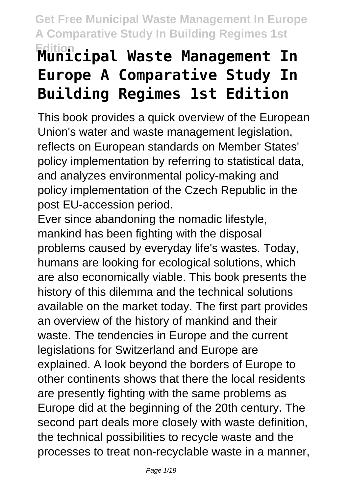# **Edition Municipal Waste Management In Europe A Comparative Study In Building Regimes 1st Edition**

This book provides a quick overview of the European Union's water and waste management legislation, reflects on European standards on Member States' policy implementation by referring to statistical data, and analyzes environmental policy-making and policy implementation of the Czech Republic in the post EU-accession period.

Ever since abandoning the nomadic lifestyle, mankind has been fighting with the disposal problems caused by everyday life's wastes. Today, humans are looking for ecological solutions, which are also economically viable. This book presents the history of this dilemma and the technical solutions available on the market today. The first part provides an overview of the history of mankind and their waste. The tendencies in Europe and the current legislations for Switzerland and Europe are explained. A look beyond the borders of Europe to other continents shows that there the local residents are presently fighting with the same problems as Europe did at the beginning of the 20th century. The second part deals more closely with waste definition, the technical possibilities to recycle waste and the processes to treat non-recyclable waste in a manner,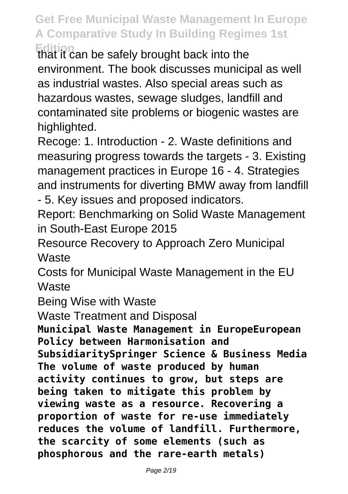**Edition** that it can be safely brought back into the environment. The book discusses municipal as well as industrial wastes. Also special areas such as hazardous wastes, sewage sludges, landfill and contaminated site problems or biogenic wastes are highlighted.

Recoge: 1. Introduction - 2. Waste definitions and measuring progress towards the targets - 3. Existing management practices in Europe 16 - 4. Strategies and instruments for diverting BMW away from landfill - 5. Key issues and proposed indicators.

Report: Benchmarking on Solid Waste Management in South-East Europe 2015

Resource Recovery to Approach Zero Municipal **Waste** 

Costs for Municipal Waste Management in the EU **Waste** 

Being Wise with Waste

Waste Treatment and Disposal

**Municipal Waste Management in EuropeEuropean Policy between Harmonisation and SubsidiaritySpringer Science & Business Media The volume of waste produced by human activity continues to grow, but steps are being taken to mitigate this problem by viewing waste as a resource. Recovering a proportion of waste for re-use immediately reduces the volume of landfill. Furthermore, the scarcity of some elements (such as phosphorous and the rare-earth metals)**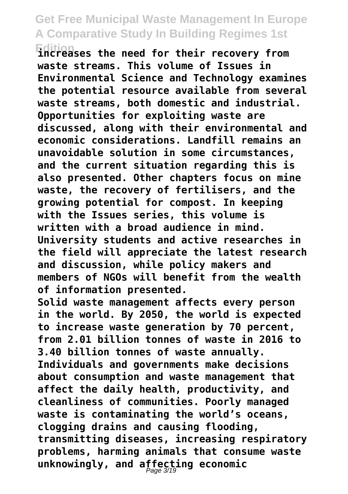**Edition increases the need for their recovery from waste streams. This volume of Issues in Environmental Science and Technology examines the potential resource available from several waste streams, both domestic and industrial. Opportunities for exploiting waste are discussed, along with their environmental and economic considerations. Landfill remains an unavoidable solution in some circumstances, and the current situation regarding this is also presented. Other chapters focus on mine waste, the recovery of fertilisers, and the growing potential for compost. In keeping with the Issues series, this volume is written with a broad audience in mind. University students and active researches in the field will appreciate the latest research and discussion, while policy makers and members of NGOs will benefit from the wealth of information presented.**

**Solid waste management affects every person in the world. By 2050, the world is expected to increase waste generation by 70 percent, from 2.01 billion tonnes of waste in 2016 to 3.40 billion tonnes of waste annually. Individuals and governments make decisions about consumption and waste management that affect the daily health, productivity, and cleanliness of communities. Poorly managed waste is contaminating the world's oceans, clogging drains and causing flooding, transmitting diseases, increasing respiratory problems, harming animals that consume waste unknowingly, and affecting economic** Page 3/19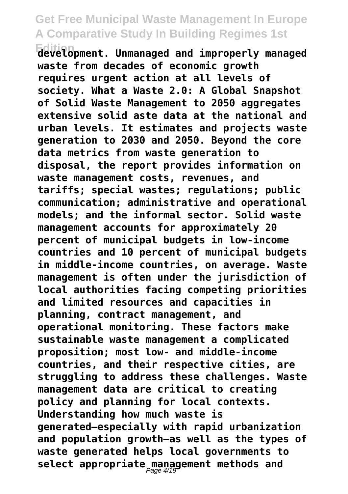**Edition development. Unmanaged and improperly managed waste from decades of economic growth requires urgent action at all levels of society. What a Waste 2.0: A Global Snapshot of Solid Waste Management to 2050 aggregates extensive solid aste data at the national and urban levels. It estimates and projects waste generation to 2030 and 2050. Beyond the core data metrics from waste generation to disposal, the report provides information on waste management costs, revenues, and tariffs; special wastes; regulations; public communication; administrative and operational models; and the informal sector. Solid waste management accounts for approximately 20 percent of municipal budgets in low-income countries and 10 percent of municipal budgets in middle-income countries, on average. Waste management is often under the jurisdiction of local authorities facing competing priorities and limited resources and capacities in planning, contract management, and operational monitoring. These factors make sustainable waste management a complicated proposition; most low- and middle-income countries, and their respective cities, are struggling to address these challenges. Waste management data are critical to creating policy and planning for local contexts. Understanding how much waste is generated—especially with rapid urbanization and population growth—as well as the types of waste generated helps local governments to** select appropriate<sub>,</sub>management methods and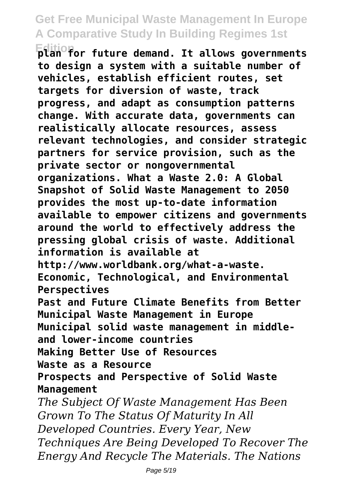**Edition**<br>plan for future demand. It allows governments **to design a system with a suitable number of vehicles, establish efficient routes, set targets for diversion of waste, track progress, and adapt as consumption patterns change. With accurate data, governments can realistically allocate resources, assess relevant technologies, and consider strategic partners for service provision, such as the private sector or nongovernmental organizations. What a Waste 2.0: A Global Snapshot of Solid Waste Management to 2050 provides the most up-to-date information available to empower citizens and governments around the world to effectively address the pressing global crisis of waste. Additional information is available at http://www.worldbank.org/what-a-waste. Economic, Technological, and Environmental Perspectives Past and Future Climate Benefits from Better Municipal Waste Management in Europe Municipal solid waste management in middleand lower-income countries Making Better Use of Resources Waste as a Resource Prospects and Perspective of Solid Waste Management** *The Subject Of Waste Management Has Been Grown To The Status Of Maturity In All Developed Countries. Every Year, New Techniques Are Being Developed To Recover The Energy And Recycle The Materials. The Nations*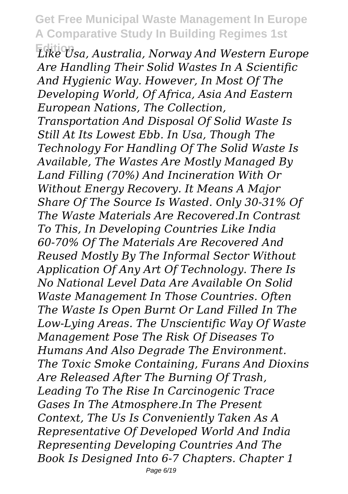**Edition** *Like Usa, Australia, Norway And Western Europe Are Handling Their Solid Wastes In A Scientific And Hygienic Way. However, In Most Of The Developing World, Of Africa, Asia And Eastern European Nations, The Collection, Transportation And Disposal Of Solid Waste Is Still At Its Lowest Ebb. In Usa, Though The Technology For Handling Of The Solid Waste Is Available, The Wastes Are Mostly Managed By Land Filling (70%) And Incineration With Or Without Energy Recovery. It Means A Major Share Of The Source Is Wasted. Only 30-31% Of The Waste Materials Are Recovered.In Contrast To This, In Developing Countries Like India 60-70% Of The Materials Are Recovered And Reused Mostly By The Informal Sector Without Application Of Any Art Of Technology. There Is No National Level Data Are Available On Solid Waste Management In Those Countries. Often The Waste Is Open Burnt Or Land Filled In The Low-Lying Areas. The Unscientific Way Of Waste Management Pose The Risk Of Diseases To Humans And Also Degrade The Environment. The Toxic Smoke Containing, Furans And Dioxins Are Released After The Burning Of Trash, Leading To The Rise In Carcinogenic Trace Gases In The Atmosphere.In The Present Context, The Us Is Conveniently Taken As A Representative Of Developed World And India Representing Developing Countries And The Book Is Designed Into 6-7 Chapters. Chapter 1*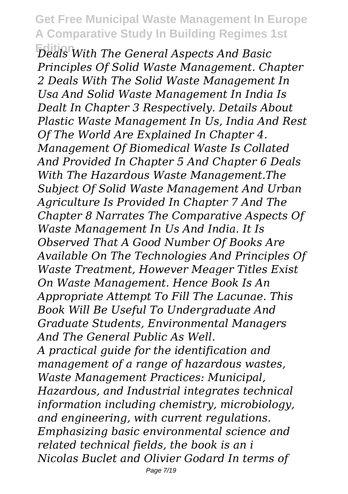**Edition** *Deals With The General Aspects And Basic Principles Of Solid Waste Management. Chapter 2 Deals With The Solid Waste Management In Usa And Solid Waste Management In India Is Dealt In Chapter 3 Respectively. Details About Plastic Waste Management In Us, India And Rest Of The World Are Explained In Chapter 4. Management Of Biomedical Waste Is Collated And Provided In Chapter 5 And Chapter 6 Deals With The Hazardous Waste Management.The Subject Of Solid Waste Management And Urban Agriculture Is Provided In Chapter 7 And The Chapter 8 Narrates The Comparative Aspects Of Waste Management In Us And India. It Is Observed That A Good Number Of Books Are Available On The Technologies And Principles Of Waste Treatment, However Meager Titles Exist On Waste Management. Hence Book Is An Appropriate Attempt To Fill The Lacunae. This Book Will Be Useful To Undergraduate And Graduate Students, Environmental Managers And The General Public As Well. A practical guide for the identification and management of a range of hazardous wastes, Waste Management Practices: Municipal, Hazardous, and Industrial integrates technical information including chemistry, microbiology, and engineering, with current regulations. Emphasizing basic environmental science and related technical fields, the book is an i Nicolas Buclet and Olivier Godard In terms of*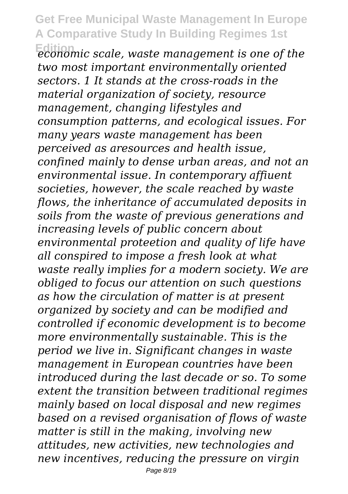**Edition** *economic scale, waste management is one of the two most important environmentally oriented sectors. 1 It stands at the cross-roads in the material organization of society, resource management, changing lifestyles and consumption patterns, and ecological issues. For many years waste management has been perceived as aresources and health issue, confined mainly to dense urban areas, and not an environmental issue. In contemporary affiuent societies, however, the scale reached by waste flows, the inheritance of accumulated deposits in soils from the waste of previous generations and increasing levels of public concern about environmental proteetion and quality of life have all conspired to impose a fresh look at what waste really implies for a modern society. We are obliged to focus our attention on such questions as how the circulation of matter is at present organized by society and can be modified and controlled if economic development is to become more environmentally sustainable. This is the period we live in. Significant changes in waste management in European countries have been introduced during the last decade or so. To some extent the transition between traditional regimes mainly based on local disposal and new regimes based on a revised organisation of flows of waste matter is still in the making, involving new attitudes, new activities, new technologies and new incentives, reducing the pressure on virgin*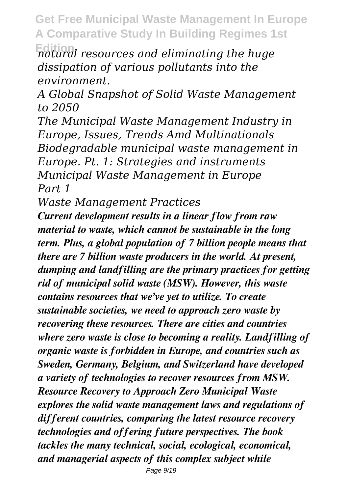**Edition** *natural resources and eliminating the huge dissipation of various pollutants into the environment.*

*A Global Snapshot of Solid Waste Management to 2050*

*The Municipal Waste Management Industry in Europe, Issues, Trends Amd Multinationals Biodegradable municipal waste management in Europe. Pt. 1: Strategies and instruments Municipal Waste Management in Europe Part 1*

*Waste Management Practices*

*Current development results in a linear flow from raw material to waste, which cannot be sustainable in the long term. Plus, a global population of 7 billion people means that there are 7 billion waste producers in the world. At present, dumping and landfilling are the primary practices for getting rid of municipal solid waste (MSW). However, this waste contains resources that we've yet to utilize. To create sustainable societies, we need to approach zero waste by recovering these resources. There are cities and countries where zero waste is close to becoming a reality. Landfilling of organic waste is forbidden in Europe, and countries such as Sweden, Germany, Belgium, and Switzerland have developed a variety of technologies to recover resources from MSW. Resource Recovery to Approach Zero Municipal Waste explores the solid waste management laws and regulations of different countries, comparing the latest resource recovery technologies and offering future perspectives. The book tackles the many technical, social, ecological, economical, and managerial aspects of this complex subject while*

Page 9/19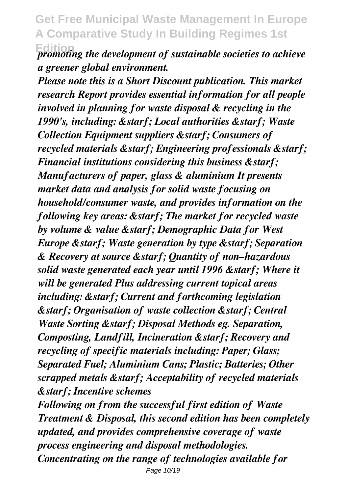*Promoting the development of sustainable societies to achieve a greener global environment.*

*Please note this is a Short Discount publication. This market research Report provides essential information for all people involved in planning for waste disposal & recycling in the 1990's, including: ★ Local authorities ★ Waste Collection Equipment suppliers ★ Consumers of recycled materials ★ Engineering professionals ★ Financial institutions considering this business ★ Manufacturers of paper, glass & aluminium It presents market data and analysis for solid waste focusing on household/consumer waste, and provides information on the following key areas: ★ The market for recycled waste by volume & value ★ Demographic Data for West Europe ★ Waste generation by type ★ Separation & Recovery at source ★ Quantity of non–hazardous solid waste generated each year until 1996 ★ Where it will be generated Plus addressing current topical areas including: ★ Current and forthcoming legislation ★ Organisation of waste collection ★ Central Waste Sorting & starf; Disposal Methods eg. Separation, Composting, Landfill, Incineration ★ Recovery and recycling of specific materials including: Paper; Glass; Separated Fuel; Aluminium Cans; Plastic; Batteries; Other scrapped metals ★ Acceptability of recycled materials ★ Incentive schemes*

*Following on from the successful first edition of Waste Treatment & Disposal, this second edition has been completely updated, and provides comprehensive coverage of waste process engineering and disposal methodologies. Concentrating on the range of technologies available for* Page 10/19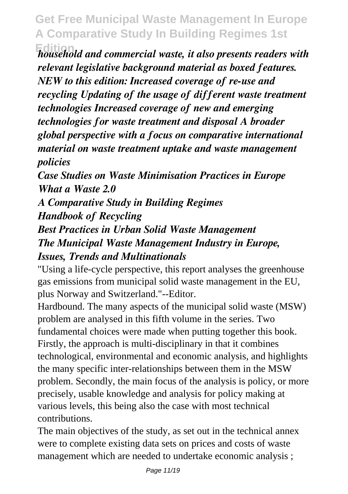**Edition** *household and commercial waste, it also presents readers with relevant legislative background material as boxed features. NEW to this edition: Increased coverage of re-use and recycling Updating of the usage of different waste treatment technologies Increased coverage of new and emerging technologies for waste treatment and disposal A broader global perspective with a focus on comparative international material on waste treatment uptake and waste management policies*

*Case Studies on Waste Minimisation Practices in Europe What a Waste 2.0*

*A Comparative Study in Building Regimes Handbook of Recycling Best Practices in Urban Solid Waste Management The Municipal Waste Management Industry in Europe, Issues, Trends and Multinationals*

"Using a life-cycle perspective, this report analyses the greenhouse gas emissions from municipal solid waste management in the EU, plus Norway and Switzerland."--Editor.

Hardbound. The many aspects of the municipal solid waste (MSW) problem are analysed in this fifth volume in the series. Two fundamental choices were made when putting together this book. Firstly, the approach is multi-disciplinary in that it combines technological, environmental and economic analysis, and highlights the many specific inter-relationships between them in the MSW problem. Secondly, the main focus of the analysis is policy, or more precisely, usable knowledge and analysis for policy making at various levels, this being also the case with most technical contributions.

The main objectives of the study, as set out in the technical annex were to complete existing data sets on prices and costs of waste management which are needed to undertake economic analysis ;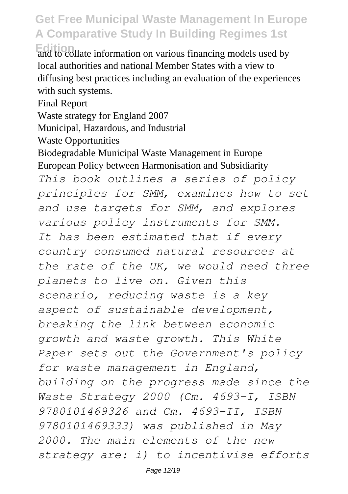**Edition** and to collate information on various financing models used by local authorities and national Member States with a view to diffusing best practices including an evaluation of the experiences with such systems.

Final Report

Waste strategy for England 2007

Municipal, Hazardous, and Industrial

Waste Opportunities

Biodegradable Municipal Waste Management in Europe European Policy between Harmonisation and Subsidiarity *This book outlines a series of policy principles for SMM, examines how to set and use targets for SMM, and explores various policy instruments for SMM. It has been estimated that if every country consumed natural resources at the rate of the UK, we would need three planets to live on. Given this scenario, reducing waste is a key aspect of sustainable development, breaking the link between economic growth and waste growth. This White Paper sets out the Government's policy for waste management in England, building on the progress made since the Waste Strategy 2000 (Cm. 4693-I, ISBN 9780101469326 and Cm. 4693-II, ISBN 9780101469333) was published in May 2000. The main elements of the new strategy are: i) to incentivise efforts*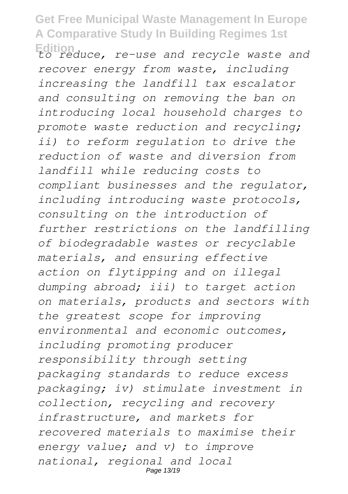**Edition** *to reduce, re-use and recycle waste and recover energy from waste, including increasing the landfill tax escalator and consulting on removing the ban on introducing local household charges to promote waste reduction and recycling; ii) to reform regulation to drive the reduction of waste and diversion from landfill while reducing costs to compliant businesses and the regulator, including introducing waste protocols, consulting on the introduction of further restrictions on the landfilling of biodegradable wastes or recyclable materials, and ensuring effective action on flytipping and on illegal dumping abroad; iii) to target action on materials, products and sectors with the greatest scope for improving environmental and economic outcomes, including promoting producer responsibility through setting packaging standards to reduce excess packaging; iv) stimulate investment in collection, recycling and recovery infrastructure, and markets for recovered materials to maximise their energy value; and v) to improve national, regional and local* Page 13/19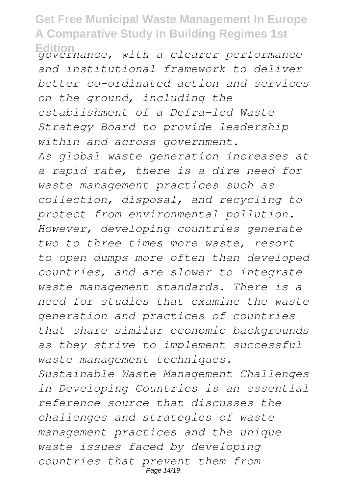**Edition** *governance, with a clearer performance and institutional framework to deliver better co-ordinated action and services on the ground, including the establishment of a Defra-led Waste Strategy Board to provide leadership within and across government. As global waste generation increases at a rapid rate, there is a dire need for waste management practices such as collection, disposal, and recycling to protect from environmental pollution. However, developing countries generate two to three times more waste, resort to open dumps more often than developed countries, and are slower to integrate waste management standards. There is a need for studies that examine the waste generation and practices of countries that share similar economic backgrounds as they strive to implement successful waste management techniques. Sustainable Waste Management Challenges in Developing Countries is an essential reference source that discusses the challenges and strategies of waste management practices and the unique waste issues faced by developing*

*countries that prevent them from* Page 14/19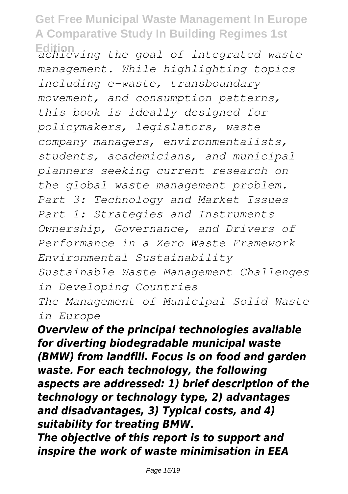**Edition** *achieving the goal of integrated waste management. While highlighting topics including e-waste, transboundary movement, and consumption patterns, this book is ideally designed for policymakers, legislators, waste company managers, environmentalists, students, academicians, and municipal planners seeking current research on the global waste management problem. Part 3: Technology and Market Issues Part 1: Strategies and Instruments Ownership, Governance, and Drivers of Performance in a Zero Waste Framework Environmental Sustainability Sustainable Waste Management Challenges in Developing Countries The Management of Municipal Solid Waste in Europe*

*Overview of the principal technologies available for diverting biodegradable municipal waste (BMW) from landfill. Focus is on food and garden waste. For each technology, the following aspects are addressed: 1) brief description of the technology or technology type, 2) advantages and disadvantages, 3) Typical costs, and 4) suitability for treating BMW.*

*The objective of this report is to support and inspire the work of waste minimisation in EEA*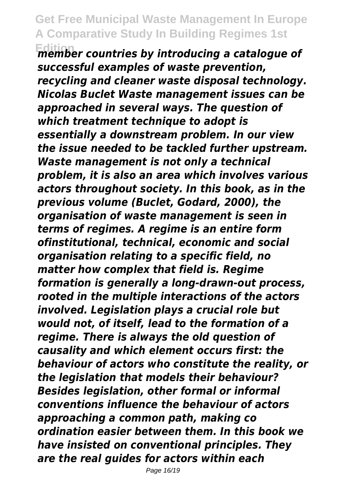**Edition** *member countries by introducing a catalogue of successful examples of waste prevention, recycling and cleaner waste disposal technology. Nicolas Buclet Waste management issues can be approached in several ways. The question of which treatment technique to adopt is essentially a downstream problem. In our view the issue needed to be tackled further upstream. Waste management is not only a technical problem, it is also an area which involves various actors throughout society. In this book, as in the previous volume (Buclet, Godard, 2000), the organisation of waste management is seen in terms of regimes. A regime is an entire form ofinstitutional, technical, economic and social organisation relating to a specific field, no matter how complex that field is. Regime formation is generally a long-drawn-out process, rooted in the multiple interactions of the actors involved. Legislation plays a crucial role but would not, of itself, lead to the formation of a regime. There is always the old question of causality and which element occurs first: the behaviour of actors who constitute the reality, or the legislation that models their behaviour? Besides legislation, other formal or informal conventions influence the behaviour of actors approaching a common path, making co ordination easier between them. In this book we have insisted on conventional principles. They are the real guides for actors within each*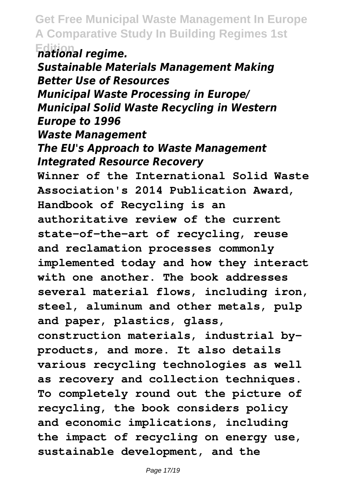**national regime.** *Sustainable Materials Management Making Better Use of Resources Municipal Waste Processing in Europe/ Municipal Solid Waste Recycling in Western Europe to 1996 Waste Management The EU's Approach to Waste Management Integrated Resource Recovery* **Winner of the International Solid Waste Association's 2014 Publication Award, Handbook of Recycling is an authoritative review of the current state-of-the-art of recycling, reuse and reclamation processes commonly implemented today and how they interact with one another. The book addresses several material flows, including iron, steel, aluminum and other metals, pulp and paper, plastics, glass, construction materials, industrial byproducts, and more. It also details various recycling technologies as well as recovery and collection techniques. To completely round out the picture of recycling, the book considers policy and economic implications, including the impact of recycling on energy use, sustainable development, and the**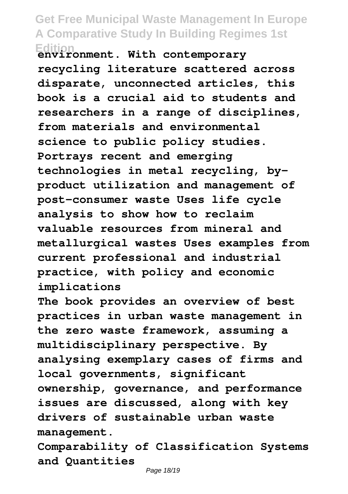## **Get Free Municipal Waste Management In Europe A Comparative Study In Building Regimes 1st Edition environment. With contemporary**

**recycling literature scattered across disparate, unconnected articles, this book is a crucial aid to students and researchers in a range of disciplines, from materials and environmental science to public policy studies. Portrays recent and emerging technologies in metal recycling, byproduct utilization and management of post-consumer waste Uses life cycle analysis to show how to reclaim valuable resources from mineral and metallurgical wastes Uses examples from current professional and industrial practice, with policy and economic implications**

**The book provides an overview of best practices in urban waste management in the zero waste framework, assuming a multidisciplinary perspective. By analysing exemplary cases of firms and local governments, significant ownership, governance, and performance issues are discussed, along with key drivers of sustainable urban waste management.**

**Comparability of Classification Systems and Quantities**